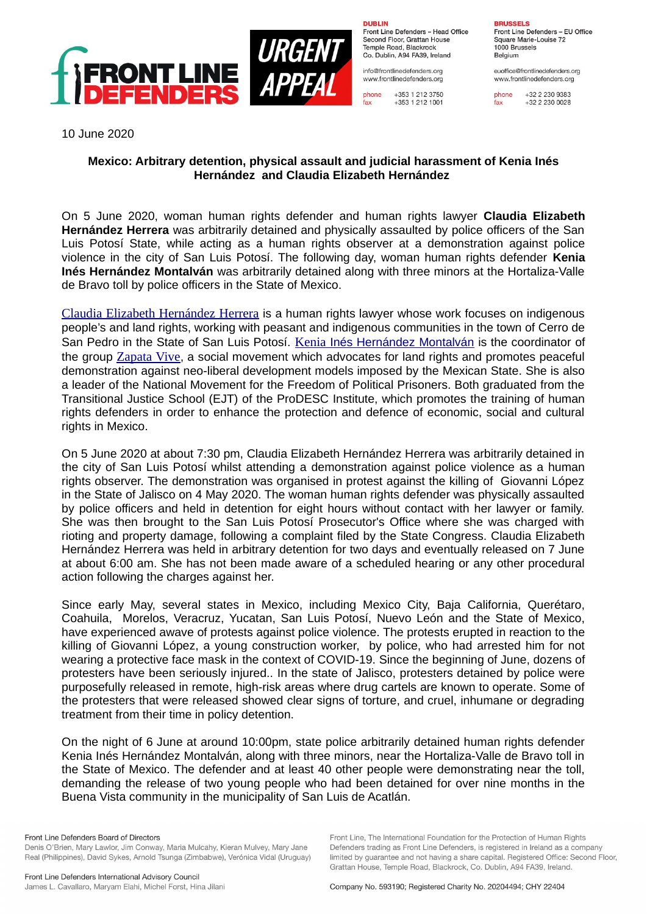

**DURLIN** Front Line Defenders - Head Office Second Floor, Grattan House Temple Boad, Blackrock Co. Dublin, A94 FA39, Ireland

info@frontlinedefenders.org www.frontlinedefenders.org

+353 1 212 3750 phone fax +353 1 212 1001

**BDHCCELC** 

Front Line Defenders - EU Office Square Marie-Louise 72 1000 Brussels Belgium

euoffice@frontlinedefenders.org www.frontlinedefenders.org

phone +32 2 230 9383 fax +32 2 230 0028

10 June 2020

## **Mexico: Arbitrary detention, physical assault and judicial harassment of Kenia Inés Hernández and Claudia Elizabeth Hernández**

On 5 June 2020, woman human rights defender and human rights lawyer **Claudia Elizabeth Hernández Herrera** was arbitrarily detained and physically assaulted by police officers of the San Luis Potosí State, while acting as a human rights observer at a demonstration against police violence in the city of San Luis Potosí. The following day, woman human rights defender **Kenia Inés Hernández Montalván** was arbitrarily detained along with three minors at the Hortaliza-Valle de Bravo toll by police officers in the State of Mexico.

[Claudia Elizabeth Hernández Herrera](https://www.frontlinedefenders.org/en/profile/claudia-elizabeth-hernandez-herrera) is a human rights lawyer whose work focuses on indigenous people's and land rights, working with peasant and indigenous communities in the town of Cerro de San Pedro in the State of San Luis Potosí. [Kenia](https://www.frontlinedefenders.org/en/profile/kenia-ines-hernandez-montalvan) [Inés Hernández Montalván](https://www.frontlinedefenders.org/en/profile/kenia-ines-hernandez-montalvan) is the coordinator of the group [Zapata Vive](https://www.facebook.com/Colectivo-zapata-vive-102832484418918/), a social movement which advocates for land rights and promotes peaceful demonstration against neo-liberal development models imposed by the Mexican State. She is also a leader of the National Movement for the Freedom of Political Prisoners. Both graduated from the Transitional Justice School (EJT) of the ProDESC Institute, which promotes the training of human rights defenders in order to enhance the protection and defence of economic, social and cultural rights in Mexico.

On 5 June 2020 at about 7:30 pm, Claudia Elizabeth Hernández Herrera was arbitrarily detained in the city of San Luis Potosí whilst attending a demonstration against police violence as a human rights observer. The demonstration was organised in protest against the killing of Giovanni López in the State of Jalisco on 4 May 2020. The woman human rights defender was physically assaulted by police officers and held in detention for eight hours without contact with her lawyer or family. She was then brought to the San Luis Potosí Prosecutor's Office where she was charged with rioting and property damage, following a complaint filed by the State Congress. Claudia Elizabeth Hernández Herrera was held in arbitrary detention for two days and eventually released on 7 June at about 6:00 am. She has not been made aware of a scheduled hearing or any other procedural action following the charges against her.

Since early May, several states in Mexico, including Mexico City, Baja California, Querétaro, Coahuila, Morelos, Veracruz, Yucatan, San Luis Potosí, Nuevo León and the State of Mexico, have experienced awave of protests against police violence. The protests erupted in reaction to the killing of Giovanni López, a young construction worker, by police, who had arrested him for not wearing a protective face mask in the context of COVID-19. Since the beginning of June, dozens of protesters have been seriously injured.. In the state of Jalisco, protesters detained by police were purposefully released in remote, high-risk areas where drug cartels are known to operate. Some of the protesters that were released showed clear signs of torture, and cruel, inhumane or degrading treatment from their time in policy detention.

On the night of 6 June at around 10:00pm, state police arbitrarily detained human rights defender Kenia Inés Hernández Montalván, along with three minors, near the Hortaliza-Valle de Bravo toll in the State of Mexico. The defender and at least 40 other people were demonstrating near the toll, demanding the release of two young people who had been detained for over nine months in the Buena Vista community in the municipality of San Luis de Acatlán.

Front Line Defenders Board of Directors Denis O'Brien, Mary Lawlor, Jim Conway, Maria Mulcahy, Kieran Mulvey, Mary Jane Real (Philippines), David Sykes, Arnold Tsunga (Zimbabwe), Verónica Vidal (Uruguay) Front Line, The International Foundation for the Protection of Human Rights

Defenders trading as Front Line Defenders, is registered in Ireland as a company limited by quarantee and not having a share capital. Registered Office: Second Floor.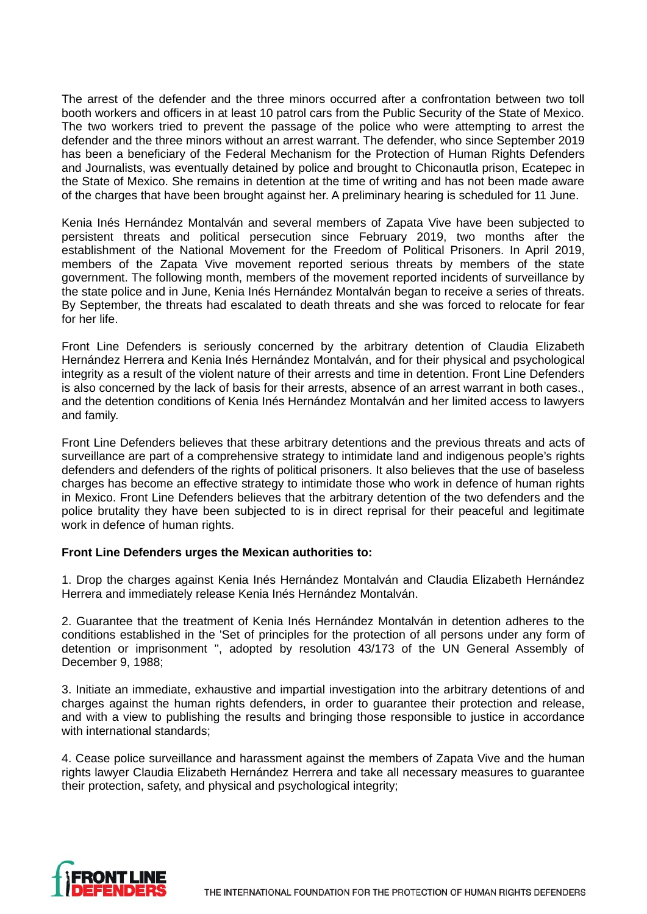The arrest of the defender and the three minors occurred after a confrontation between two toll booth workers and officers in at least 10 patrol cars from the Public Security of the State of Mexico. The two workers tried to prevent the passage of the police who were attempting to arrest the defender and the three minors without an arrest warrant. The defender, who since September 2019 has been a beneficiary of the Federal Mechanism for the Protection of Human Rights Defenders and Journalists, was eventually detained by police and brought to Chiconautla prison, Ecatepec in the State of Mexico. She remains in detention at the time of writing and has not been made aware of the charges that have been brought against her. A preliminary hearing is scheduled for 11 June.

Kenia Inés Hernández Montalván and several members of Zapata Vive have been subjected to persistent threats and political persecution since February 2019, two months after the establishment of the National Movement for the Freedom of Political Prisoners. In April 2019, members of the Zapata Vive movement reported serious threats by members of the state government. The following month, members of the movement reported incidents of surveillance by the state police and in June, Kenia Inés Hernández Montalván began to receive a series of threats. By September, the threats had escalated to death threats and she was forced to relocate for fear for her life.

Front Line Defenders is seriously concerned by the arbitrary detention of Claudia Elizabeth Hernández Herrera and Kenia Inés Hernández Montalván, and for their physical and psychological integrity as a result of the violent nature of their arrests and time in detention. Front Line Defenders is also concerned by the lack of basis for their arrests, absence of an arrest warrant in both cases., and the detention conditions of Kenia Inés Hernández Montalván and her limited access to lawyers and family.

Front Line Defenders believes that these arbitrary detentions and the previous threats and acts of surveillance are part of a comprehensive strategy to intimidate land and indigenous people's rights defenders and defenders of the rights of political prisoners. It also believes that the use of baseless charges has become an effective strategy to intimidate those who work in defence of human rights in Mexico. Front Line Defenders believes that the arbitrary detention of the two defenders and the police brutality they have been subjected to is in direct reprisal for their peaceful and legitimate work in defence of human rights.

## **Front Line Defenders urges the Mexican authorities to:**

1. Drop the charges against Kenia Inés Hernández Montalván and Claudia Elizabeth Hernández Herrera and immediately release Kenia Inés Hernández Montalván.

2. Guarantee that the treatment of Kenia Inés Hernández Montalván in detention adheres to the conditions established in the 'Set of principles for the protection of all persons under any form of detention or imprisonment '', adopted by resolution 43/173 of the UN General Assembly of December 9, 1988;

3. Initiate an immediate, exhaustive and impartial investigation into the arbitrary detentions of and charges against the human rights defenders, in order to guarantee their protection and release, and with a view to publishing the results and bringing those responsible to justice in accordance with international standards;

4. Cease police surveillance and harassment against the members of Zapata Vive and the human rights lawyer Claudia Elizabeth Hernández Herrera and take all necessary measures to guarantee their protection, safety, and physical and psychological integrity;